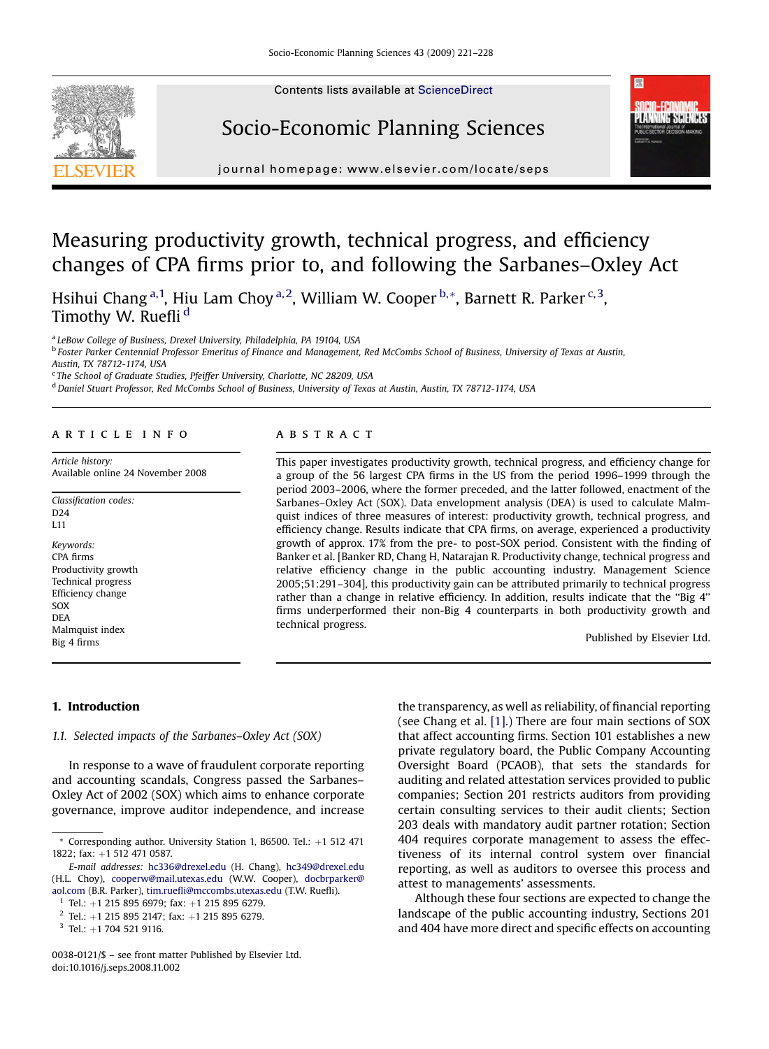Contents lists available at [ScienceDirect](www.sciencedirect.com/science/journal/00380121)

## Socio-Economic Planning Sciences



journal homepage: [www.elsevier.com/locate/seps](http://www.elsevier.com/locate/seps)

## Measuring productivity growth, technical progress, and efficiency changes of CPA firms prior to, and following the Sarbanes–Oxley Act

Hsihui Chang <sup>a, 1</sup>, Hiu Lam Choy <sup>a, 2</sup>, William W. Cooper <sup>b, \*</sup>, Barnett R. Parker <sup>c, 3</sup>, Timothy W. Ruefli<sup>d</sup>

<sup>a</sup> LeBow College of Business, Drexel University, Philadelphia, PA 19104, USA

<sup>b</sup> Foster Parker Centennial Professor Emeritus of Finance and Management, Red McCombs School of Business, University of Texas at Austin,

Austin, TX 78712-1174, USA

<sup>c</sup> The School of Graduate Studies, Pfeiffer University, Charlotte, NC 28209, USA

<sup>d</sup> Daniel Stuart Professor, Red McCombs School of Business, University of Texas at Austin, Austin, TX 78712-1174, USA

#### article info

Article history: Available online 24 November 2008

Classification codes: D24 L11 Keywords: CPA firms Productivity growth Technical progress Efficiency change

SOX DEA Malmquist index Big 4 firms

### **ABSTRACT**

This paper investigates productivity growth, technical progress, and efficiency change for a group of the 56 largest CPA firms in the US from the period 1996–1999 through the period 2003–2006, where the former preceded, and the latter followed, enactment of the Sarbanes–Oxley Act (SOX). Data envelopment analysis (DEA) is used to calculate Malmquist indices of three measures of interest: productivity growth, technical progress, and efficiency change. Results indicate that CPA firms, on average, experienced a productivity growth of approx. 17% from the pre- to post-SOX period. Consistent with the finding of Banker et al. [Banker RD, Chang H, Natarajan R. Productivity change, technical progress and relative efficiency change in the public accounting industry. Management Science 2005;51:291–304], this productivity gain can be attributed primarily to technical progress rather than a change in relative efficiency. In addition, results indicate that the "Big 4" firms underperformed their non-Big 4 counterparts in both productivity growth and technical progress.

Published by Elsevier Ltd.

#### 1. Introduction

1.1. Selected impacts of the Sarbanes–Oxley Act (SOX)

In response to a wave of fraudulent corporate reporting and accounting scandals, Congress passed the Sarbanes– Oxley Act of 2002 (SOX) which aims to enhance corporate governance, improve auditor independence, and increase

the transparency, as well as reliability, of financial reporting (see Chang et al. [\[1\]](#page--1-0).) There are four main sections of SOX that affect accounting firms. Section 101 establishes a new private regulatory board, the Public Company Accounting Oversight Board (PCAOB), that sets the standards for auditing and related attestation services provided to public companies; Section 201 restricts auditors from providing certain consulting services to their audit clients; Section 203 deals with mandatory audit partner rotation; Section 404 requires corporate management to assess the effectiveness of its internal control system over financial reporting, as well as auditors to oversee this process and attest to managements' assessments.

Although these four sections are expected to change the landscape of the public accounting industry, Sections 201 and 404 have more direct and specific effects on accounting

 $*$  Corresponding author. University Station 1, B6500. Tel.:  $+1$  512 471 1822; fax: +1 512 471 0587.

E-mail addresses: [hc336@drexel.edu](mailto:hc349@drexel.edu) (H. Chang), [hc349@drexel.edu](mailto:hc349@drexel.edu) (H.L. Choy), [cooperw@mail.utexas.edu](mailto:cooperw@mail.utexas.edu) (W.W. Cooper), [docbrparker@](mailto:docbrparker@aol.com) [aol.com](mailto:docbrparker@aol.com) (B.R. Parker), [tim.ruefli@mccombs.utexas.edu](mailto:tim.ruefli@mccombs.utexas.edu) (T.W. Ruefli).

 $1$  Tel.: +1 215 895 6979; fax: +1 215 895 6279.

 $2$  Tel.: +1 215 895 2147; fax: +1 215 895 6279.

 $3$  Tel.: +1 704 521 9116.

<sup>0038-0121/\$ –</sup> see front matter Published by Elsevier Ltd. doi:10.1016/j.seps.2008.11.002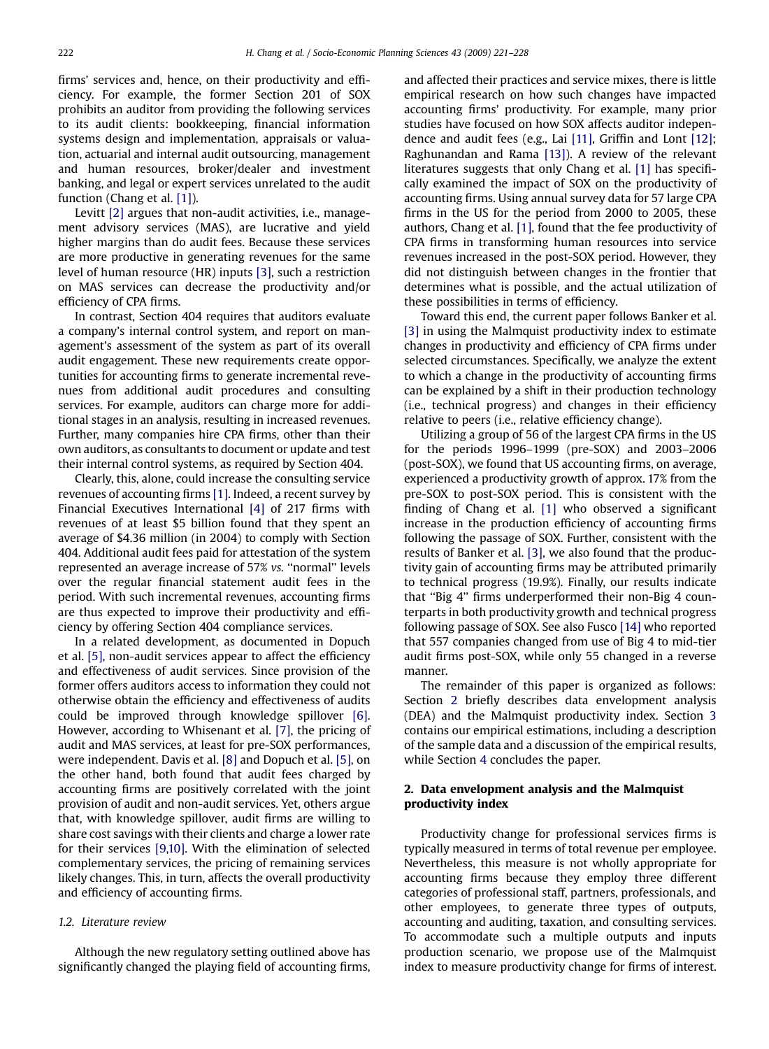firms' services and, hence, on their productivity and efficiency. For example, the former Section 201 of SOX prohibits an auditor from providing the following services to its audit clients: bookkeeping, financial information systems design and implementation, appraisals or valuation, actuarial and internal audit outsourcing, management and human resources, broker/dealer and investment banking, and legal or expert services unrelated to the audit function (Chang et al. [\[1\]\)](#page--1-0).

Levitt [\[2\]](#page--1-0) argues that non-audit activities, i.e., management advisory services (MAS), are lucrative and yield higher margins than do audit fees. Because these services are more productive in generating revenues for the same level of human resource (HR) inputs [\[3\]](#page--1-0), such a restriction on MAS services can decrease the productivity and/or efficiency of CPA firms.

In contrast, Section 404 requires that auditors evaluate a company's internal control system, and report on management's assessment of the system as part of its overall audit engagement. These new requirements create opportunities for accounting firms to generate incremental revenues from additional audit procedures and consulting services. For example, auditors can charge more for additional stages in an analysis, resulting in increased revenues. Further, many companies hire CPA firms, other than their own auditors, as consultants to document or update and test their internal control systems, as required by Section 404.

Clearly, this, alone, could increase the consulting service revenues of accounting firms [\[1\]](#page--1-0). Indeed, a recent survey by Financial Executives International [\[4\]](#page--1-0) of 217 firms with revenues of at least \$5 billion found that they spent an average of \$4.36 million (in 2004) to comply with Section 404. Additional audit fees paid for attestation of the system represented an average increase of 57% vs. ''normal'' levels over the regular financial statement audit fees in the period. With such incremental revenues, accounting firms are thus expected to improve their productivity and efficiency by offering Section 404 compliance services.

In a related development, as documented in Dopuch et al. [\[5\],](#page--1-0) non-audit services appear to affect the efficiency and effectiveness of audit services. Since provision of the former offers auditors access to information they could not otherwise obtain the efficiency and effectiveness of audits could be improved through knowledge spillover [\[6\]](#page--1-0). However, according to Whisenant et al. [\[7\],](#page--1-0) the pricing of audit and MAS services, at least for pre-SOX performances, were independent. Davis et al. [\[8\]](#page--1-0) and Dopuch et al. [\[5\],](#page--1-0) on the other hand, both found that audit fees charged by accounting firms are positively correlated with the joint provision of audit and non-audit services. Yet, others argue that, with knowledge spillover, audit firms are willing to share cost savings with their clients and charge a lower rate for their services [\[9,10\].](#page--1-0) With the elimination of selected complementary services, the pricing of remaining services likely changes. This, in turn, affects the overall productivity and efficiency of accounting firms.

#### 1.2. Literature review

Although the new regulatory setting outlined above has significantly changed the playing field of accounting firms,

and affected their practices and service mixes, there is little empirical research on how such changes have impacted accounting firms' productivity. For example, many prior studies have focused on how SOX affects auditor independence and audit fees (e.g., Lai [\[11\]](#page--1-0), Griffin and Lont [\[12\];](#page--1-0) Raghunandan and Rama [\[13\]\)](#page--1-0). A review of the relevant literatures suggests that only Chang et al. [\[1\]](#page--1-0) has specifically examined the impact of SOX on the productivity of accounting firms. Using annual survey data for 57 large CPA firms in the US for the period from 2000 to 2005, these authors, Chang et al. [\[1\]](#page--1-0), found that the fee productivity of CPA firms in transforming human resources into service revenues increased in the post-SOX period. However, they did not distinguish between changes in the frontier that determines what is possible, and the actual utilization of these possibilities in terms of efficiency.

Toward this end, the current paper follows Banker et al. [\[3\]](#page--1-0) in using the Malmquist productivity index to estimate changes in productivity and efficiency of CPA firms under selected circumstances. Specifically, we analyze the extent to which a change in the productivity of accounting firms can be explained by a shift in their production technology (i.e., technical progress) and changes in their efficiency relative to peers (i.e., relative efficiency change).

Utilizing a group of 56 of the largest CPA firms in the US for the periods 1996–1999 (pre-SOX) and 2003–2006 (post-SOX), we found that US accounting firms, on average, experienced a productivity growth of approx. 17% from the pre-SOX to post-SOX period. This is consistent with the finding of Chang et al. [\[1\]](#page--1-0) who observed a significant increase in the production efficiency of accounting firms following the passage of SOX. Further, consistent with the results of Banker et al. [\[3\]](#page--1-0), we also found that the productivity gain of accounting firms may be attributed primarily to technical progress (19.9%). Finally, our results indicate that ''Big 4'' firms underperformed their non-Big 4 counterparts in both productivity growth and technical progress following passage of SOX. See also Fusco [\[14\]](#page--1-0) who reported that 557 companies changed from use of Big 4 to mid-tier audit firms post-SOX, while only 55 changed in a reverse manner.

The remainder of this paper is organized as follows: Section 2 briefly describes data envelopment analysis (DEA) and the Malmquist productivity index. Section [3](#page--1-0) contains our empirical estimations, including a description of the sample data and a discussion of the empirical results, while Section [4](#page--1-0) concludes the paper.

#### 2. Data envelopment analysis and the Malmquist productivity index

Productivity change for professional services firms is typically measured in terms of total revenue per employee. Nevertheless, this measure is not wholly appropriate for accounting firms because they employ three different categories of professional staff, partners, professionals, and other employees, to generate three types of outputs, accounting and auditing, taxation, and consulting services. To accommodate such a multiple outputs and inputs production scenario, we propose use of the Malmquist index to measure productivity change for firms of interest.